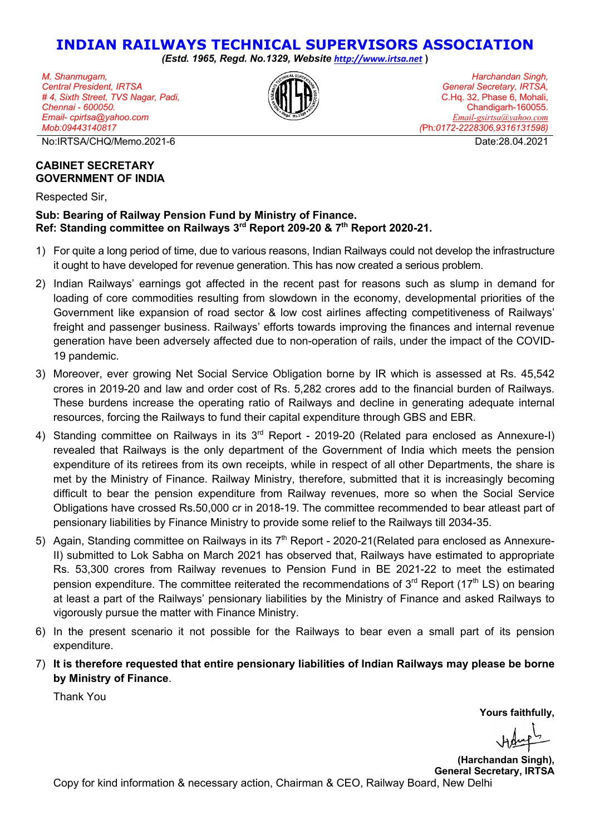## **INDIAN RAILWAYS TECHNICAL SUPERVISORS ASSOCIATION**

*(Estd. 1965, Regd. No.1329, Website http://www.irtsa.net* **)**

*M. Shanmugam, Central President, IRTSA # 4, Sixth Street, TVS Nagar, Padi, Chennai - 600050. Email- cpirtsa@yahoo.com Mob:09443140817*

No:IRTSA/CHQ/Memo.2021-6 Date:28.04.2021

*Harchandan Singh, General Secretary, IRTSA,* C.Hq. 32, Phase 6, Mohali, Chandigarh-160055. *Email-gsirtsa@yahoo.com (*Ph*:0172-2228306,9316131598)*

## **CABINET SECRETARY GOVERNMENT OF INDIA**

Respected Sir,

## **Sub: Bearing of Railway Pension Fund by Ministry of Finance. Ref: Standing committee on Railways 3rd Report 209-20 & 7th Report 2020-21.**

- 1) For quite a long period of time, due to various reasons, Indian Railways could not develop the infrastructure it ought to have developed for revenue generation. This has now created a serious problem.
- 2) Indian Railways' earnings got affected in the recent past for reasons such as slump in demand for loading of core commodities resulting from slowdown in the economy, developmental priorities of the Government like expansion of road sector & low cost airlines affecting competitiveness of Railways' freight and passenger business. Railways' efforts towards improving the finances and internal revenue generation have been adversely affected due to non-operation of rails, under the impact of the COVID-19 pandemic.
- 3) Moreover, ever growing Net Social Service Obligation borne by IR which is assessed at Rs. 45,542 crores in 2019-20 and law and order cost of Rs. 5,282 crores add to the financial burden of Railways. These burdens increase the operating ratio of Railways and decline in generating adequate internal resources, forcing the Railways to fund their capital expenditure through GBS and EBR.
- 4) Standing committee on Railways in its 3<sup>rd</sup> Report 2019-20 (Related para enclosed as Annexure-I) revealed that Railways is the only department of the Government of India which meets the pension expenditure of its retirees from its own receipts, while in respect of all other Departments, the share is met by the Ministry of Finance. Railway Ministry, therefore, submitted that it is increasingly becoming difficult to bear the pension expenditure from Railway revenues, more so when the Social Service Obligations have crossed Rs.50,000 cr in 2018-19. The committee recommended to bear atleast part of pensionary liabilities by Finance Ministry to provide some relief to the Railways till 2034-35.
- 5) Again, Standing committee on Railways in its 7<sup>th</sup> Report 2020-21 (Related para enclosed as Annexure-II) submitted to Lok Sabha on March 2021 has observed that, Railways have estimated to appropriate Rs. 53,300 crores from Railway revenues to Pension Fund in BE 2021-22 to meet the estimated pension expenditure. The committee reiterated the recommendations of  $3<sup>rd</sup>$  Report (17<sup>th</sup> LS) on bearing at least a part of the Railways' pensionary liabilities by the Ministry of Finance and asked Railways to vigorously pursue the matter with Finance Ministry.
- 6) In the present scenario it not possible for the Railways to bear even a small part of its pension expenditure.
- 7) **It is therefore requested that entire pensionary liabilities of Indian Railways may please be borne by Ministry of Finance**.

Thank You

**Yours faithfully,**

**(Harchandan Singh), General Secretary, IRTSA** Copy for kind information & necessary action, Chairman & CEO, Railway Board, New Delhi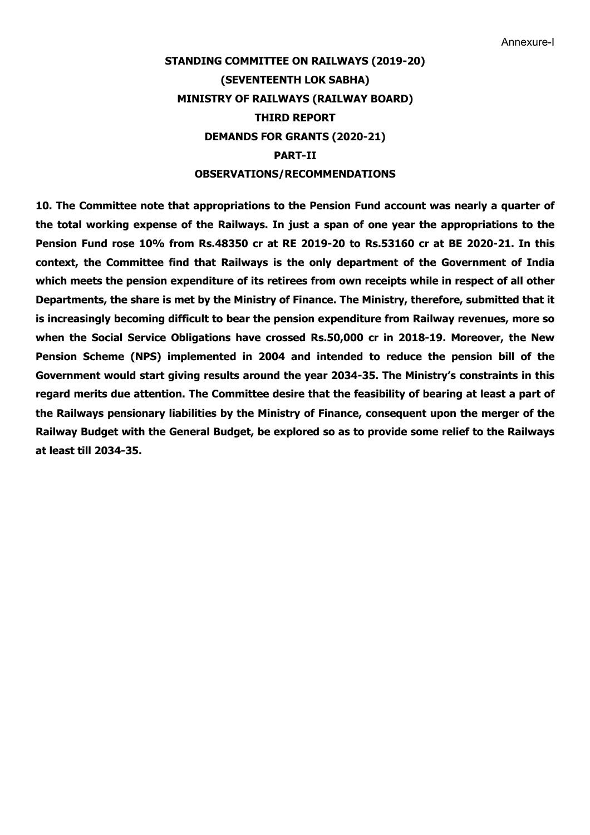## **STANDING COMMITTEE ON RAILWAYS (2019-20) (SEVENTEENTH LOK SABHA) MINISTRY OF RAILWAYS (RAILWAY BOARD) THIRD REPORT DEMANDS FOR GRANTS (2020-21) PART-II OBSERVATIONS/RECOMMENDATIONS**

**10. The Committee note that appropriations to the Pension Fund account was nearly a quarter of the total working expense of the Railways. In just a span of one year the appropriations to the Pension Fund rose 10% from Rs.48350 cr at RE 2019-20 to Rs.53160 cr at BE 2020-21. In this context, the Committee find that Railways is the only department of the Government of India which meets the pension expenditure of its retirees from own receipts while in respect of all other Departments, the share is met by the Ministry of Finance. The Ministry, therefore, submitted that it is increasingly becoming difficult to bear the pension expenditure from Railway revenues, more so when the Social Service Obligations have crossed Rs.50,000 cr in 2018-19. Moreover, the New Pension Scheme (NPS) implemented in 2004 and intended to reduce the pension bill of the Government would start giving results around the year 2034-35. The Ministry's constraints in this regard merits due attention. The Committee desire that the feasibility of bearing at least a part of the Railways pensionary liabilities by the Ministry of Finance, consequent upon the merger of the Railway Budget with the General Budget, be explored so as to provide some relief to the Railways at least till 2034-35.**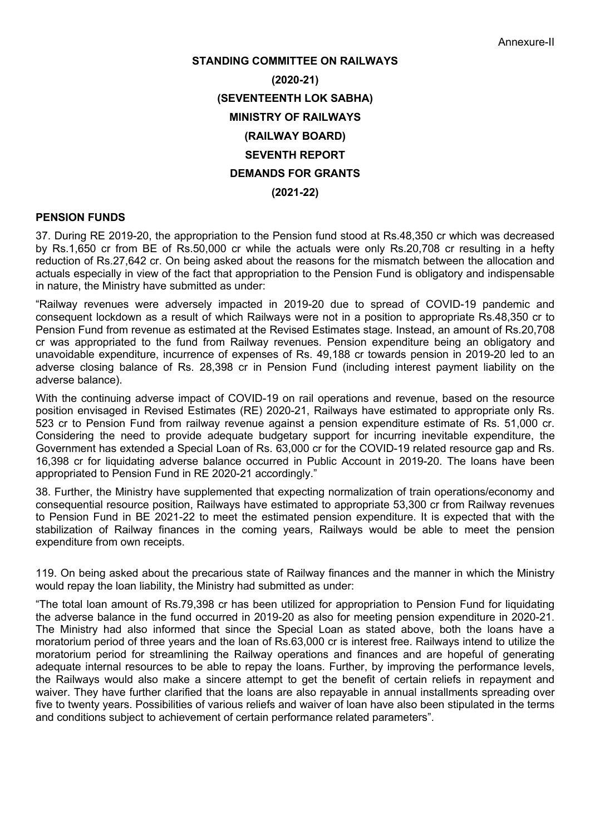# **STANDING COMMITTEE ON RAILWAYS (2020-21) (SEVENTEENTH LOK SABHA) MINISTRY OF RAILWAYS (RAILWAY BOARD) SEVENTH REPORT DEMANDS FOR GRANTS (2021-22)**

## **PENSION FUNDS**

37. During RE 2019-20, the appropriation to the Pension fund stood at Rs.48,350 cr which was decreased by Rs.1,650 cr from BE of Rs.50,000 cr while the actuals were only Rs.20,708 cr resulting in a hefty reduction of Rs.27,642 cr. On being asked about the reasons for the mismatch between the allocation and actuals especially in view of the fact that appropriation to the Pension Fund is obligatory and indispensable in nature, the Ministry have submitted as under:

"Railway revenues were adversely impacted in 2019-20 due to spread of COVID-19 pandemic and consequent lockdown as a result of which Railways were not in a position to appropriate Rs.48,350 cr to Pension Fund from revenue as estimated at the Revised Estimates stage. Instead, an amount of Rs.20,708 cr was appropriated to the fund from Railway revenues. Pension expenditure being an obligatory and unavoidable expenditure, incurrence of expenses of Rs. 49,188 cr towards pension in 2019-20 led to an adverse closing balance of Rs. 28,398 cr in Pension Fund (including interest payment liability on the adverse balance).

With the continuing adverse impact of COVID-19 on rail operations and revenue, based on the resource position envisaged in Revised Estimates (RE) 2020-21, Railways have estimated to appropriate only Rs. 523 cr to Pension Fund from railway revenue against a pension expenditure estimate of Rs. 51,000 cr. Considering the need to provide adequate budgetary support for incurring inevitable expenditure, the Government has extended a Special Loan of Rs. 63,000 cr for the COVID-19 related resource gap and Rs. 16,398 cr for liquidating adverse balance occurred in Public Account in 2019-20. The loans have been appropriated to Pension Fund in RE 2020-21 accordingly."

38. Further, the Ministry have supplemented that expecting normalization of train operations/economy and consequential resource position, Railways have estimated to appropriate 53,300 cr from Railway revenues to Pension Fund in BE 2021-22 to meet the estimated pension expenditure. It is expected that with the stabilization of Railway finances in the coming years, Railways would be able to meet the pension expenditure from own receipts.

119. On being asked about the precarious state of Railway finances and the manner in which the Ministry would repay the loan liability, the Ministry had submitted as under:

"The total loan amount of Rs.79,398 cr has been utilized for appropriation to Pension Fund for liquidating the adverse balance in the fund occurred in 2019-20 as also for meeting pension expenditure in 2020-21. The Ministry had also informed that since the Special Loan as stated above, both the loans have a moratorium period of three years and the loan of Rs.63,000 cr is interest free. Railways intend to utilize the moratorium period for streamlining the Railway operations and finances and are hopeful of generating adequate internal resources to be able to repay the loans. Further, by improving the performance levels, the Railways would also make a sincere attempt to get the benefit of certain reliefs in repayment and waiver. They have further clarified that the loans are also repayable in annual installments spreading over five to twenty years. Possibilities of various reliefs and waiver of loan have also been stipulated in the terms and conditions subject to achievement of certain performance related parameters".